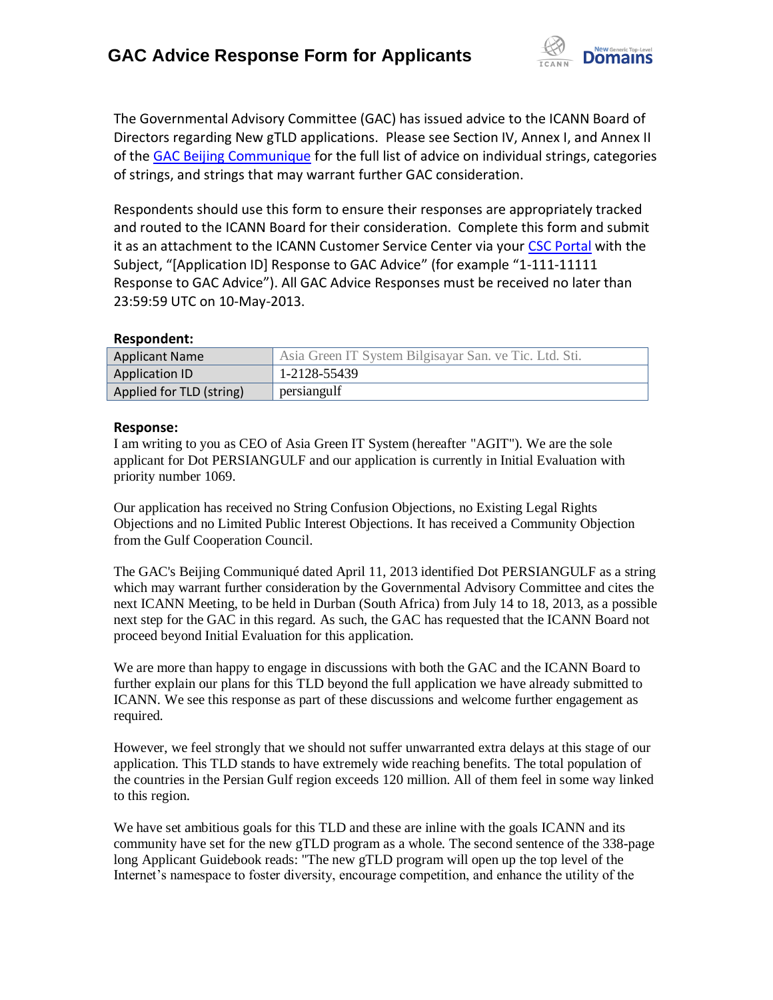

The Governmental Advisory Committee (GAC) has issued advice to the ICANN Board of Directors regarding New gTLD applications. Please see Section IV, Annex I, and Annex II of the [GAC Beijing Communique](http://www.icann.org/en/news/correspondence/gac-to-board-18apr13-en.pdf) for the full list of advice on individual strings, categories of strings, and strings that may warrant further GAC consideration.

Respondents should use this form to ensure their responses are appropriately tracked and routed to the ICANN Board for their consideration. Complete this form and submit it as an attachment to the ICANN Customer Service Center via your CSC [Portal](https://myicann.secure.force.com/) with the Subject, "[Application ID] Response to GAC Advice" (for example "1-111-11111 Response to GAC Advice"). All GAC Advice Responses must be received no later than 23:59:59 UTC on 10-May-2013.

## **Respondent:**

| <b>Applicant Name</b>    | Asia Green IT System Bilgisayar San. ve Tic. Ltd. Sti. |
|--------------------------|--------------------------------------------------------|
| Application ID           | 1-2128-55439                                           |
| Applied for TLD (string) | persiangulf                                            |

## **Response:**

I am writing to you as CEO of Asia Green IT System (hereafter "AGIT"). We are the sole applicant for Dot PERSIANGULF and our application is currently in Initial Evaluation with priority number 1069.

Our application has received no String Confusion Objections, no Existing Legal Rights Objections and no Limited Public Interest Objections. It has received a Community Objection from the Gulf Cooperation Council.

The GAC's Beijing Communiqué dated April 11, 2013 identified Dot PERSIANGULF as a string which may warrant further consideration by the Governmental Advisory Committee and cites the next ICANN Meeting, to be held in Durban (South Africa) from July 14 to 18, 2013, as a possible next step for the GAC in this regard. As such, the GAC has requested that the ICANN Board not proceed beyond Initial Evaluation for this application.

We are more than happy to engage in discussions with both the GAC and the ICANN Board to further explain our plans for this TLD beyond the full application we have already submitted to ICANN. We see this response as part of these discussions and welcome further engagement as required.

However, we feel strongly that we should not suffer unwarranted extra delays at this stage of our application. This TLD stands to have extremely wide reaching benefits. The total population of the countries in the Persian Gulf region exceeds 120 million. All of them feel in some way linked to this region.

We have set ambitious goals for this TLD and these are inline with the goals ICANN and its community have set for the new gTLD program as a whole. The second sentence of the 338-page long Applicant Guidebook reads: "The new gTLD program will open up the top level of the Internet's namespace to foster diversity, encourage competition, and enhance the utility of the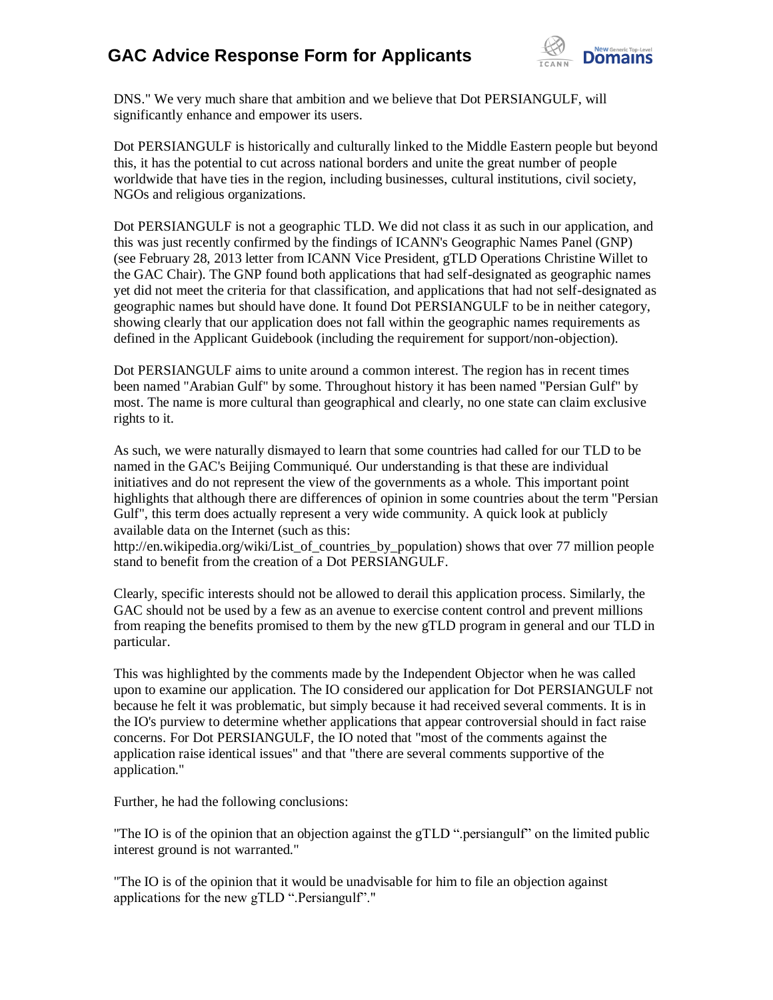## **GAC Advice Response Form for Applicants**



DNS." We very much share that ambition and we believe that Dot PERSIANGULF, will significantly enhance and empower its users.

Dot PERSIANGULF is historically and culturally linked to the Middle Eastern people but beyond this, it has the potential to cut across national borders and unite the great number of people worldwide that have ties in the region, including businesses, cultural institutions, civil society, NGOs and religious organizations.

Dot PERSIANGULF is not a geographic TLD. We did not class it as such in our application, and this was just recently confirmed by the findings of ICANN's Geographic Names Panel (GNP) (see February 28, 2013 letter from ICANN Vice President, gTLD Operations Christine Willet to the GAC Chair). The GNP found both applications that had self-designated as geographic names yet did not meet the criteria for that classification, and applications that had not self-designated as geographic names but should have done. It found Dot PERSIANGULF to be in neither category, showing clearly that our application does not fall within the geographic names requirements as defined in the Applicant Guidebook (including the requirement for support/non-objection).

Dot PERSIANGULF aims to unite around a common interest. The region has in recent times been named "Arabian Gulf" by some. Throughout history it has been named "Persian Gulf" by most. The name is more cultural than geographical and clearly, no one state can claim exclusive rights to it.

As such, we were naturally dismayed to learn that some countries had called for our TLD to be named in the GAC's Beijing Communiqué. Our understanding is that these are individual initiatives and do not represent the view of the governments as a whole. This important point highlights that although there are differences of opinion in some countries about the term "Persian Gulf", this term does actually represent a very wide community. A quick look at publicly available data on the Internet (such as this:

http://en.wikipedia.org/wiki/List\_of\_countries\_by\_population) shows that over 77 million people stand to benefit from the creation of a Dot PERSIANGULF.

Clearly, specific interests should not be allowed to derail this application process. Similarly, the GAC should not be used by a few as an avenue to exercise content control and prevent millions from reaping the benefits promised to them by the new gTLD program in general and our TLD in particular.

This was highlighted by the comments made by the Independent Objector when he was called upon to examine our application. The IO considered our application for Dot PERSIANGULF not because he felt it was problematic, but simply because it had received several comments. It is in the IO's purview to determine whether applications that appear controversial should in fact raise concerns. For Dot PERSIANGULF, the IO noted that "most of the comments against the application raise identical issues" and that "there are several comments supportive of the application."

Further, he had the following conclusions:

"The IO is of the opinion that an objection against the gTLD ".persiangulf" on the limited public interest ground is not warranted."

"The IO is of the opinion that it would be unadvisable for him to file an objection against applications for the new gTLD ".Persiangulf"."